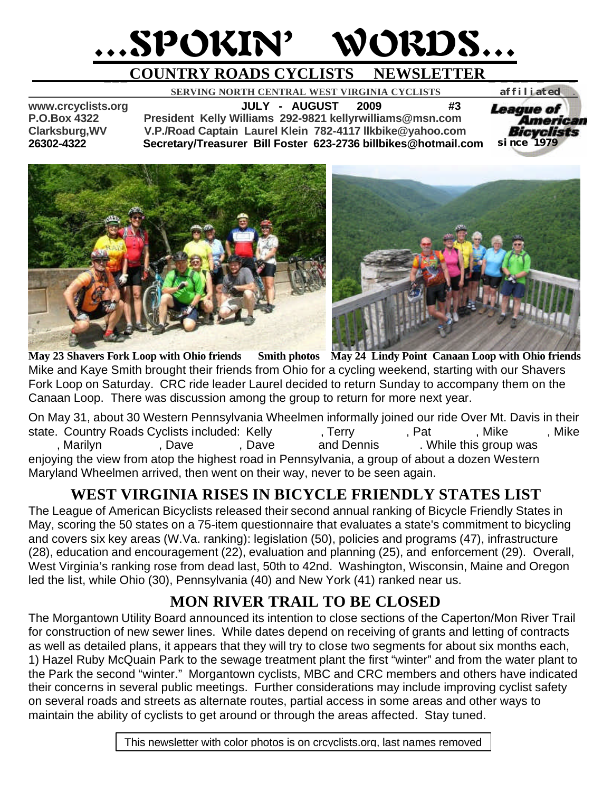# …SPOKIN' WORDS…

# **\_\_\_COUNTRY ROADS CYCLISTS NEWSLETTER \_ \_ \_\_ \_ \_**

 **SERVING NORTH CENTRAL WEST VIRGINIA CYCLISTS** *affiliated .* 

**www.crcyclists.org JULY - AUGUST 2009 #3 P.O.Box 4322 President Kelly Williams 292-9821 kellyrwilliams@msn.com Clarksburg,WV V.P./Road Captain Laurel Klein 782-4117 llkbike@yahoo.com 26302-4322 Secretary/Treasurer Bill Foster 623-2736 billbikes@hotmail.com** 

*League of* American Bicyclists *since 1979*



**May 23 Shavers Fork Loop with Ohio friends Smith photos May 24 Lindy Point Canaan Loop with Ohio friends** Mike and Kaye Smith brought their friends from Ohio for a cycling weekend, starting with our Shavers Fork Loop on Saturday. CRC ride leader Laurel decided to return Sunday to accompany them on the Canaan Loop. There was discussion among the group to return for more next year.

On May 31, about 30 Western Pennsylvania Wheelmen informally joined our ride Over Mt. Davis in their state. Country Roads Cyclists included: Kelly Terry Feat Alliams, Mike Mike Mike Maunz, Mike , Marilyn Theorlando, Dave And Dennis Aller and Dennis Aller this group was enjoying the view from atop the highest road in Pennsylvania, a group of about a dozen Western Maryland Wheelmen arrived, then went on their way, never to be seen again.

## **WEST VIRGINIA RISES IN BICYCLE FRIENDLY STATES LIST**

The League of American Bicyclists released their second annual ranking of Bicycle Friendly States in May, scoring the 50 states on a 75-item questionnaire that evaluates a state's commitment to bicycling and covers six key areas (W.Va. ranking): legislation (50), policies and programs (47), infrastructure (28), education and encouragement (22), evaluation and planning (25), and enforcement (29). Overall, West Virginia's ranking rose from dead last, 50th to 42nd. Washington, Wisconsin, Maine and Oregon led the list, while Ohio (30), Pennsylvania (40) and New York (41) ranked near us.

## **MON RIVER TRAIL TO BE CLOSED**

The Morgantown Utility Board announced its intention to close sections of the Caperton/Mon River Trail for construction of new sewer lines. While dates depend on receiving of grants and letting of contracts as well as detailed plans, it appears that they will try to close two segments for about six months each, 1) Hazel Ruby McQuain Park to the sewage treatment plant the first "winter" and from the water plant to the Park the second "winter." Morgantown cyclists, MBC and CRC members and others have indicated their concerns in several public meetings. Further considerations may include improving cyclist safety on several roads and streets as alternate routes, partial access in some areas and other ways to maintain the ability of cyclists to get around or through the areas affected. Stay tuned.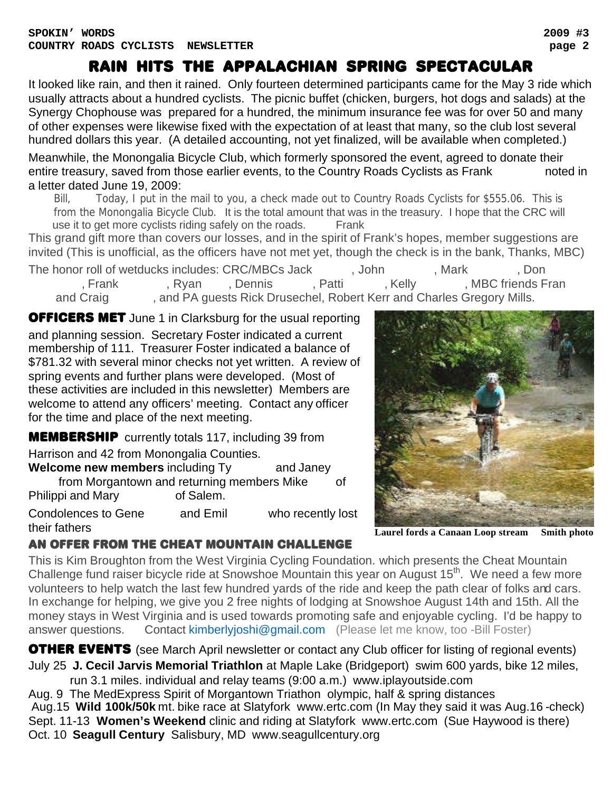It looked like rain, and then it rained. Only fourteen determined participants came for the May 3 ride which usually attracts about a hundred cyclists. The picnic buffet (chicken, burgers, hot dogs and salads) at the Synergy Chophouse was prepared for a hundred, the minimum insurance fee was for over 50 and many

of other expenses were likewise fixed with the expectation of at least that many, so the club lost several hundred dollars this year. (A detailed accounting, not yet finalized, will be available when completed.)

Meanwhile, the Monongalia Bicycle Club, which formerly sponsored the event, agreed to donate their entire treasury, saved from those earlier events, to the Country Roads Cyclists as Frank hoted in a letter dated June 19, 2009:

 Bill, Today, I put in the mail to you, a check made out to Country Roads Cyclists for \$555.06. This is from the Monongalia Bicycle Club. It is the total amount that was in the treasury. I hope that the CRC will use it to get more cyclists riding safely on the roads. Frank

This grand gift more than covers our losses, and in the spirit of Frank's hopes, member suggestions are invited (This is unofficial, as the officers have not met yet, though the check is in the bank, Thanks, MBC)

The honor roll of wetducks includes: CRC/MBCs Jack and John Bowders, Mark Bong, Don Frank Gmeindlerson, Dennis Gmeindl, Patti Snitzer, MBC friends Franch, Patti Snitzer, Andels Franch, MBC friends Franch, Charles Franch, Charles Franch, MBC friends Franch, MBC friends Franch, MBC friends Franch, MBC frien and Craig entity and PA guests Rick Drusechel, Robert Kerr and Charles Gregory Mills.

**OFFICERS MET** June 1 in Clarksburg for the usual reporting and planning session. Secretary Foster indicated a current membership of 111. Treasurer Foster indicated a balance of \$781.32 with several minor checks not yet written. A review of spring events and further plans were developed. (Most of these activities are included in this newsletter) Members are welcome to attend any officers' meeting. Contact any officer for the time and place of the next meeting.

**MEMBERSHIP** currently totals 117, including 39 from Harrison and 42 from Monongalia Counties.

**Welcome new members** including Ty and Janey from Morgantown and returning members Mike of<br>pi and Mary of Salem. Philippi and Mary

Condolences to Gene and Emil who recently lost their fathers **Laurel fords a Canaan Loop stream Smith photo**



#### an offer from the cheat mountain challenge

This is Kim Broughton from the West Virginia Cycling Foundation. which presents the Cheat Mountain Challenge fund raiser bicycle ride at Snowshoe Mountain this year on August 15<sup>th</sup>. We need a few more volunteers to help watch the last few hundred yards of the ride and keep the path clear of folks and cars. In exchange for helping, we give you 2 free nights of lodging at Snowshoe August 14th and 15th. All the money stays in West Virginia and is used towards promoting safe and enjoyable cycling. I'd be happy to answer questions. Contact kimberlyjoshi@gmail.com (Please let me know, too -Bill Foster)

**OTHER EVENTS** (see March April newsletter or contact any Club officer for listing of regional events) July 25 **J. Cecil Jarvis Memorial Triathlon** at Maple Lake (Bridgeport) swim 600 yards, bike 12 miles,

 run 3.1 miles. individual and relay teams (9:00 a.m.) www.iplayoutside.com Aug. 9 The MedExpress Spirit of Morgantown Triathon olympic, half & spring distances Aug.15 **Wild 100k/50k** mt. bike race at Slatyfork www.ertc.com (In May they said it was Aug.16 -check) Sept. 11-13 **Women's Weekend** clinic and riding at Slatyfork www.ertc.com (Sue Haywood is there) Oct. 10 **Seagull Century** Salisbury, MD www.seagullcentury.org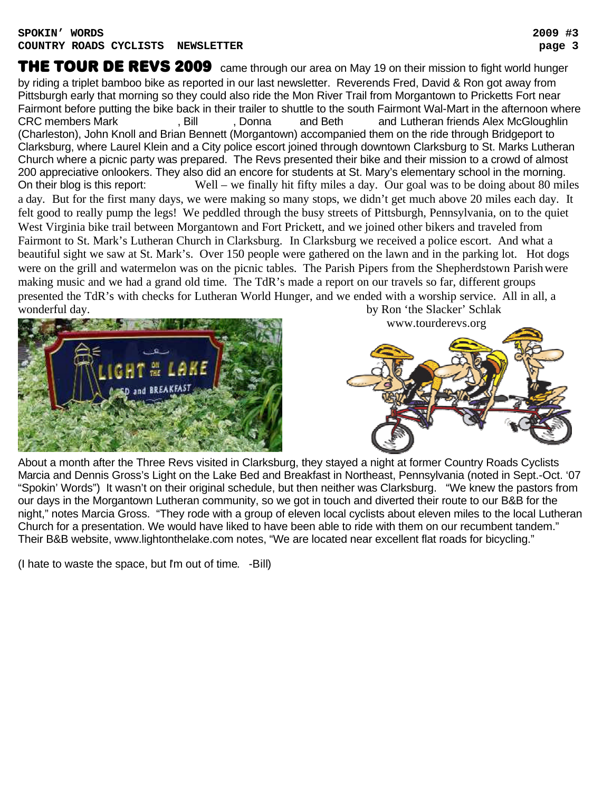#### **SPOKIN' WORDS 2009 #3 COUNTRY ROADS CYCLISTS NEWSLETTER page 3**

THE TOUR DE REVS 2009 came through our area on May 19 on their mission to fight world hunger by riding a triplet bamboo bike as reported in our last newsletter. Reverends Fred, David & Ron got away from Pittsburgh early that morning so they could also ride the Mon River Trail from Morgantown to Pricketts Fort near Fairmont before putting the bike back in their trailer to shuttle to the south Fairmont Wal-Mart in the afternoon where CRC members Mark Theorem And Foster, Donna Post and Beth and Lutheran friends Alex McGloughlin (Charleston), John Knoll and Brian Bennett (Morgantown) accompanied them on the ride through Bridgeport to Clarksburg, where Laurel Klein and a City police escort joined through downtown Clarksburg to St. Marks Lutheran Church where a picnic party was prepared. The Revs presented their bike and their mission to a crowd of almost 200 appreciative onlookers. They also did an encore for students at St. Mary's elementary school in the morning. On their blog is this report: Well – we finally hit fifty miles a day. Our goal was to be doing about 80 miles a day. But for the first many days, we were making so many stops, we didn't get much above 20 miles each day. It felt good to really pump the legs! We peddled through the busy streets of Pittsburgh, Pennsylvania, on to the quiet West Virginia bike trail between Morgantown and Fort Prickett, and we joined other bikers and traveled from Fairmont to St. Mark's Lutheran Church in Clarksburg. In Clarksburg we received a police escort. And what a beautiful sight we saw at St. Mark's. Over 150 people were gathered on the lawn and in the parking lot. Hot dogs were on the grill and watermelon was on the picnic tables. The Parish Pipers from the Shepherdstown Parish were making music and we had a grand old time. The TdR's made a report on our travels so far, different groups presented the TdR's with checks for Lutheran World Hunger, and we ended with a worship service. All in all, a wonderful day. by Ron 'the Slacker' Schlak



www.tourderevs.org



About a month after the Three Revs visited in Clarksburg, they stayed a night at former Country Roads Cyclists Marcia and Dennis Gross's Light on the Lake Bed and Breakfast in Northeast, Pennsylvania (noted in Sept.-Oct. '07 "Spokin' Words") It wasn't on their original schedule, but then neither was Clarksburg. "We knew the pastors from our days in the Morgantown Lutheran community, so we got in touch and diverted their route to our B&B for the night," notes Marcia Gross. "They rode with a group of eleven local cyclists about eleven miles to the local Lutheran Church for a presentation. We would have liked to have been able to ride with them on our recumbent tandem." Their B&B website, www.lightonthelake.com notes, "We are located near excellent flat roads for bicycling."

(I hate to waste the space, but I'm out of time. -Bill)